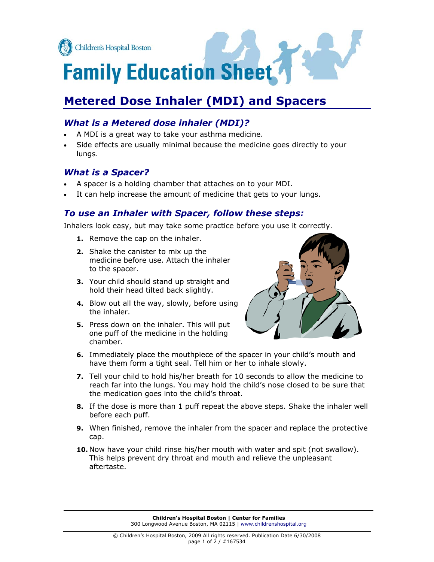

# **Family Education Sheet**

# **Metered Dose Inhaler (MDI) and Spacers**

# *What is a Metered dose inhaler (MDI)?*

- A MDI is a great way to take your asthma medicine.
- Side effects are usually minimal because the medicine goes directly to your lungs.

## *What is a Spacer?*

- ! A spacer is a holding chamber that attaches on to your MDI.
- It can help increase the amount of medicine that gets to your lungs.

### *To use an Inhaler with Spacer, follow these steps:*

Inhalers look easy, but may take some practice before you use it correctly.

- **1.** Remove the cap on the inhaler.
- **2.** Shake the canister to mix up the medicine before use. Attach the inhaler to the spacer.
- **3.** Your child should stand up straight and hold their head tilted back slightly.
- **4.** Blow out all the way, slowly, before using the inhaler.
- **5.** Press down on the inhaler. This will put one puff of the medicine in the holding chamber.



- **6.** Immediately place the mouthpiece of the spacer in your child's mouth and have them form a tight seal. Tell him or her to inhale slowly.
- **7.** Tell your child to hold his/her breath for 10 seconds to allow the medicine to reach far into the lungs. You may hold the child's nose closed to be sure that the medication goes into the child's throat.
- **8.** If the dose is more than 1 puff repeat the above steps. Shake the inhaler well before each puff.
- **9.** When finished, remove the inhaler from the spacer and replace the protective cap.
- **10.** Now have your child rinse his/her mouth with water and spit (not swallow). This helps prevent dry throat and mouth and relieve the unpleasant aftertaste.

**Children's Hospital Boston | Center for Families**  300 Longwood Avenue Boston, MA 02115 | www.childrenshospital.org